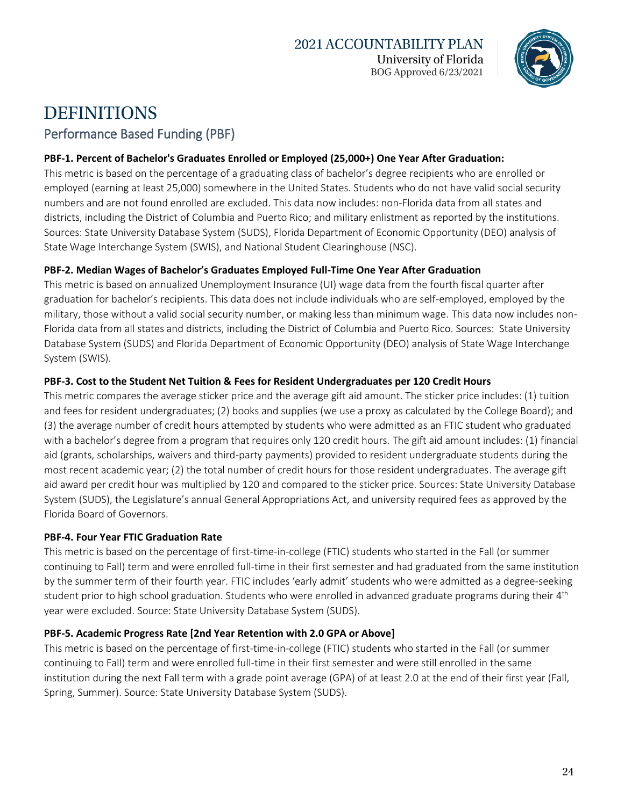

## **DEFINITIONS** Performance Based Funding (PBF)

### **PBF-1. Percent of Bachelor's Graduates Enrolled or Employed (25,000+) One Year After Graduation:**

This metric is based on the percentage of a graduating class of bachelor's degree recipients who are enrolled or employed (earning at least 25,000) somewhere in the United States. Students who do not have valid social security numbers and are not found enrolled are excluded. This data now includes: non-Florida data from all states and districts, including the District of Columbia and Puerto Rico; and military enlistment as reported by the institutions. Sources: State University Database System (SUDS), Florida Department of Economic Opportunity (DEO) analysis of State Wage Interchange System (SWIS), and National Student Clearinghouse (NSC).

#### **PBF-2. Median Wages of Bachelor's Graduates Employed Full-Time One Year After Graduation**

This metric is based on annualized Unemployment Insurance (UI) wage data from the fourth fiscal quarter after graduation for bachelor's recipients. This data does not include individuals who are self-employed, employed by the military, those without a valid social security number, or making less than minimum wage. This data now includes non-Florida data from all states and districts, including the District of Columbia and Puerto Rico. Sources: State University Database System (SUDS) and Florida Department of Economic Opportunity (DEO) analysis of State Wage Interchange System (SWIS).

#### **PBF-3. Cost to the Student Net Tuition & Fees for Resident Undergraduates per 120 Credit Hours**

This metric compares the average sticker price and the average gift aid amount. The sticker price includes: (1) tuition and fees for resident undergraduates; (2) books and supplies (we use a proxy as calculated by the College Board); and (3) the average number of credit hours attempted by students who were admitted as an FTIC student who graduated with a bachelor's degree from a program that requires only 120 credit hours. The gift aid amount includes: (1) financial aid (grants, scholarships, waivers and third-party payments) provided to resident undergraduate students during the most recent academic year; (2) the total number of credit hours for those resident undergraduates. The average gift aid award per credit hour was multiplied by 120 and compared to the sticker price. Sources: State University Database System (SUDS), the Legislature's annual General Appropriations Act, and university required fees as approved by the Florida Board of Governors.

### **PBF-4. Four Year FTIC Graduation Rate**

This metric is based on the percentage of first-time-in-college (FTIC) students who started in the Fall (or summer continuing to Fall) term and were enrolled full-time in their first semester and had graduated from the same institution by the summer term of their fourth year. FTIC includes 'early admit' students who were admitted as a degree-seeking student prior to high school graduation. Students who were enrolled in advanced graduate programs during their 4<sup>th</sup> year were excluded. Source: State University Database System (SUDS).

#### **PBF-5. Academic Progress Rate [2nd Year Retention with 2.0 GPA or Above]**

This metric is based on the percentage of first-time-in-college (FTIC) students who started in the Fall (or summer continuing to Fall) term and were enrolled full-time in their first semester and were still enrolled in the same institution during the next Fall term with a grade point average (GPA) of at least 2.0 at the end of their first year (Fall, Spring, Summer). Source: State University Database System (SUDS).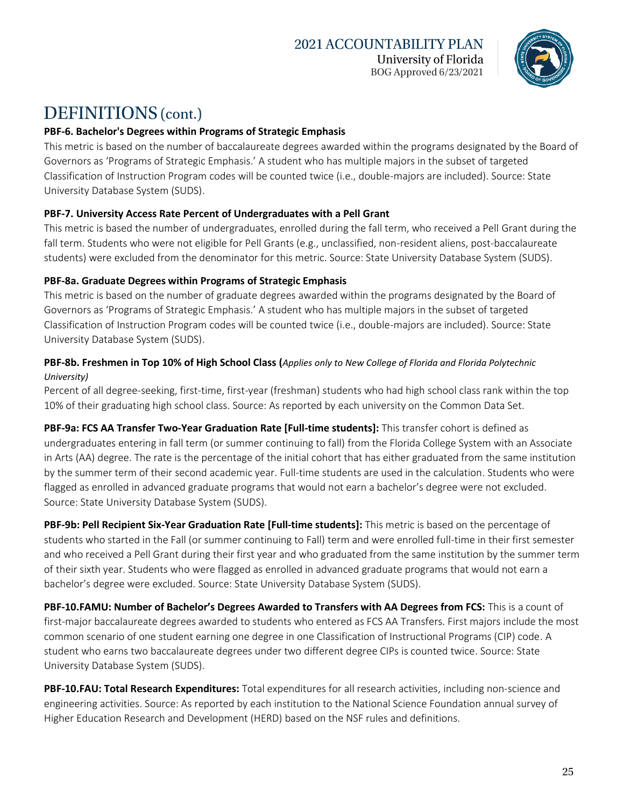

### **PBF-6. Bachelor's Degrees within Programs of Strategic Emphasis**

This metric is based on the number of baccalaureate degrees awarded within the programs designated by the Board of Governors as 'Programs of Strategic Emphasis.' A student who has multiple majors in the subset of targeted Classification of Instruction Program codes will be counted twice (i.e., double-majors are included). Source: State University Database System (SUDS).

#### **PBF-7. University Access Rate Percent of Undergraduates with a Pell Grant**

This metric is based the number of undergraduates, enrolled during the fall term, who received a Pell Grant during the fall term. Students who were not eligible for Pell Grants (e.g., unclassified, non-resident aliens, post-baccalaureate students) were excluded from the denominator for this metric. Source: State University Database System (SUDS).

#### **PBF-8a. Graduate Degrees within Programs of Strategic Emphasis**

This metric is based on the number of graduate degrees awarded within the programs designated by the Board of Governors as 'Programs of Strategic Emphasis.' A student who has multiple majors in the subset of targeted Classification of Instruction Program codes will be counted twice (i.e., double-majors are included). Source: State University Database System (SUDS).

#### **PBF-8b. Freshmen in Top 10% of High School Class (***Applies only to New College of Florida and Florida Polytechnic University)*

Percent of all degree-seeking, first-time, first-year (freshman) students who had high school class rank within the top 10% of their graduating high school class. Source: As reported by each university on the Common Data Set.

**PBF-9a: FCS AA Transfer Two-Year Graduation Rate [Full-time students]:** This transfer cohort is defined as undergraduates entering in fall term (or summer continuing to fall) from the Florida College System with an Associate in Arts (AA) degree. The rate is the percentage of the initial cohort that has either graduated from the same institution by the summer term of their second academic year. Full-time students are used in the calculation. Students who were flagged as enrolled in advanced graduate programs that would not earn a bachelor's degree were not excluded. Source: State University Database System (SUDS).

**PBF-9b: Pell Recipient Six-Year Graduation Rate [Full-time students]:** This metric is based on the percentage of students who started in the Fall (or summer continuing to Fall) term and were enrolled full-time in their first semester and who received a Pell Grant during their first year and who graduated from the same institution by the summer term of their sixth year. Students who were flagged as enrolled in advanced graduate programs that would not earn a bachelor's degree were excluded. Source: State University Database System (SUDS).

**PBF-10.FAMU: Number of Bachelor's Degrees Awarded to Transfers with AA Degrees from FCS:** This is a count of first-major baccalaureate degrees awarded to students who entered as FCS AA Transfers. First majors include the most common scenario of one student earning one degree in one Classification of Instructional Programs (CIP) code. A student who earns two baccalaureate degrees under two different degree CIPs is counted twice. Source: State University Database System (SUDS).

**PBF-10.FAU: Total Research Expenditures:** Total expenditures for all research activities, including non-science and engineering activities. Source: As reported by each institution to the National Science Foundation annual survey of Higher Education Research and Development (HERD) based on the NSF rules and definitions.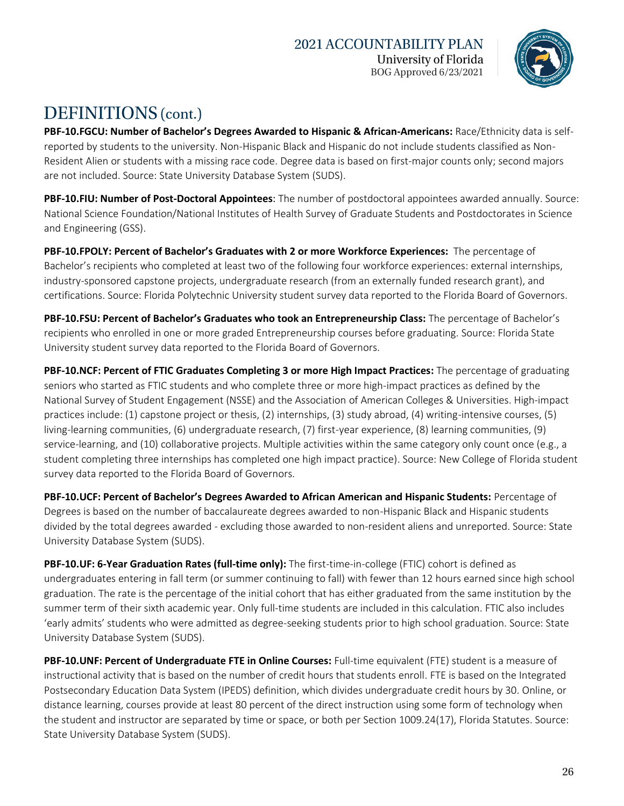

**PBF-10.FGCU: Number of Bachelor's Degrees Awarded to Hispanic & African-Americans:** Race/Ethnicity data is selfreported by students to the university. Non-Hispanic Black and Hispanic do not include students classified as Non-Resident Alien or students with a missing race code. Degree data is based on first-major counts only; second majors are not included. Source: State University Database System (SUDS).

**PBF-10.FIU: Number of Post-Doctoral Appointees**: The number of postdoctoral appointees awarded annually. Source: National Science Foundation/National Institutes of Health Survey of Graduate Students and Postdoctorates in Science and Engineering (GSS).

**PBF-10.FPOLY: Percent of Bachelor's Graduates with 2 or more Workforce Experiences:** The percentage of Bachelor's recipients who completed at least two of the following four workforce experiences: external internships, industry-sponsored capstone projects, undergraduate research (from an externally funded research grant), and certifications. Source: Florida Polytechnic University student survey data reported to the Florida Board of Governors.

**PBF-10.FSU: Percent of Bachelor's Graduates who took an Entrepreneurship Class:** The percentage of Bachelor's recipients who enrolled in one or more graded Entrepreneurship courses before graduating. Source: Florida State University student survey data reported to the Florida Board of Governors.

**PBF-10.NCF: Percent of FTIC Graduates Completing 3 or more High Impact Practices:** The percentage of graduating seniors who started as FTIC students and who complete three or more high-impact practices as defined by the National Survey of Student Engagement (NSSE) and the Association of American Colleges & Universities. High-impact practices include: (1) capstone project or thesis, (2) internships, (3) study abroad, (4) writing-intensive courses, (5) living-learning communities, (6) undergraduate research, (7) first-year experience, (8) learning communities, (9) service-learning, and (10) collaborative projects. Multiple activities within the same category only count once (e.g., a student completing three internships has completed one high impact practice). Source: New College of Florida student survey data reported to the Florida Board of Governors.

**PBF-10.UCF: Percent of Bachelor's Degrees Awarded to African American and Hispanic Students:** Percentage of Degrees is based on the number of baccalaureate degrees awarded to non-Hispanic Black and Hispanic students divided by the total degrees awarded - excluding those awarded to non-resident aliens and unreported. Source: State University Database System (SUDS).

**PBF-10.UF: 6-Year Graduation Rates (full-time only):** The first-time-in-college (FTIC) cohort is defined as undergraduates entering in fall term (or summer continuing to fall) with fewer than 12 hours earned since high school graduation. The rate is the percentage of the initial cohort that has either graduated from the same institution by the summer term of their sixth academic year. Only full-time students are included in this calculation. FTIC also includes 'early admits' students who were admitted as degree-seeking students prior to high school graduation. Source: State University Database System (SUDS).

**PBF-10.UNF: Percent of Undergraduate FTE in Online Courses:** Full-time equivalent (FTE) student is a measure of instructional activity that is based on the number of credit hours that students enroll. FTE is based on the Integrated Postsecondary Education Data System (IPEDS) definition, which divides undergraduate credit hours by 30. Online, or distance learning, courses provide at least 80 percent of the direct instruction using some form of technology when the student and instructor are separated by time or space, or both per Section 1009.24(17), Florida Statutes. Source: State University Database System (SUDS).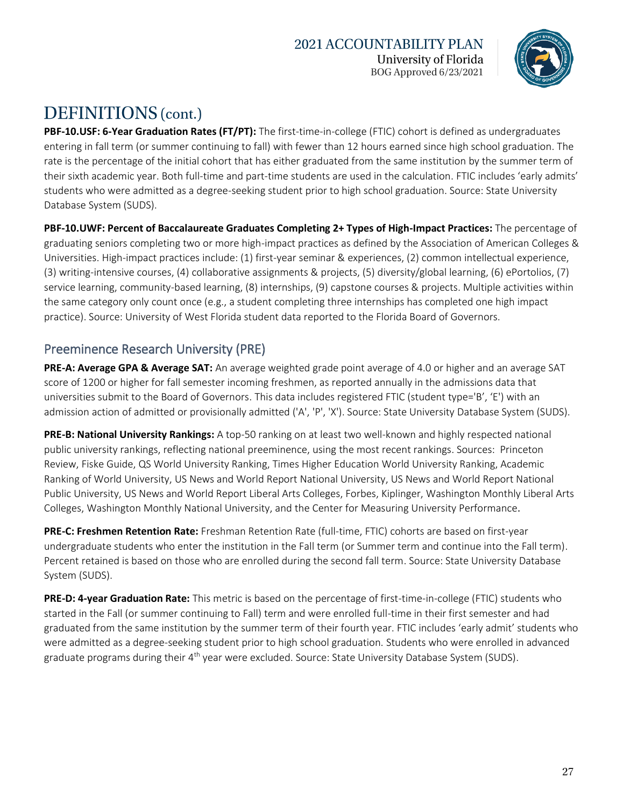

**PBF-10.USF: 6-Year Graduation Rates (FT/PT):** The first-time-in-college (FTIC) cohort is defined as undergraduates entering in fall term (or summer continuing to fall) with fewer than 12 hours earned since high school graduation. The rate is the percentage of the initial cohort that has either graduated from the same institution by the summer term of their sixth academic year. Both full-time and part-time students are used in the calculation. FTIC includes 'early admits' students who were admitted as a degree-seeking student prior to high school graduation. Source: State University Database System (SUDS).

**PBF-10.UWF: Percent of Baccalaureate Graduates Completing 2+ Types of High-Impact Practices:** The percentage of graduating seniors completing two or more high-impact practices as defined by the Association of American Colleges & Universities. High-impact practices include: (1) first-year seminar & experiences, (2) common intellectual experience, (3) writing-intensive courses, (4) collaborative assignments & projects, (5) diversity/global learning, (6) ePortolios, (7) service learning, community-based learning, (8) internships, (9) capstone courses & projects. Multiple activities within the same category only count once (e.g., a student completing three internships has completed one high impact practice). Source: University of West Florida student data reported to the Florida Board of Governors.

### Preeminence Research University (PRE)

**PRE-A: Average GPA & Average SAT:** An average weighted grade point average of 4.0 or higher and an average SAT score of 1200 or higher for fall semester incoming freshmen, as reported annually in the admissions data that universities submit to the Board of Governors. This data includes registered FTIC (student type='B', 'E') with an admission action of admitted or provisionally admitted ('A', 'P', 'X'). Source: State University Database System (SUDS).

**PRE-B: National University Rankings:** A top-50 ranking on at least two well-known and highly respected national public university rankings, reflecting national preeminence, using the most recent rankings. Sources: Princeton Review, Fiske Guide, QS World University Ranking, Times Higher Education World University Ranking, Academic Ranking of World University, US News and World Report National University, US News and World Report National Public University, US News and World Report Liberal Arts Colleges, Forbes, Kiplinger, Washington Monthly Liberal Arts Colleges, Washington Monthly National University, and the Center for Measuring University Performance.

**PRE-C: Freshmen Retention Rate:** Freshman Retention Rate (full-time, FTIC) cohorts are based on first-year undergraduate students who enter the institution in the Fall term (or Summer term and continue into the Fall term). Percent retained is based on those who are enrolled during the second fall term. Source: State University Database System (SUDS).

**PRE-D: 4-year Graduation Rate:** This metric is based on the percentage of first-time-in-college (FTIC) students who started in the Fall (or summer continuing to Fall) term and were enrolled full-time in their first semester and had graduated from the same institution by the summer term of their fourth year. FTIC includes 'early admit' students who were admitted as a degree-seeking student prior to high school graduation. Students who were enrolled in advanced graduate programs during their 4<sup>th</sup> year were excluded. Source: State University Database System (SUDS).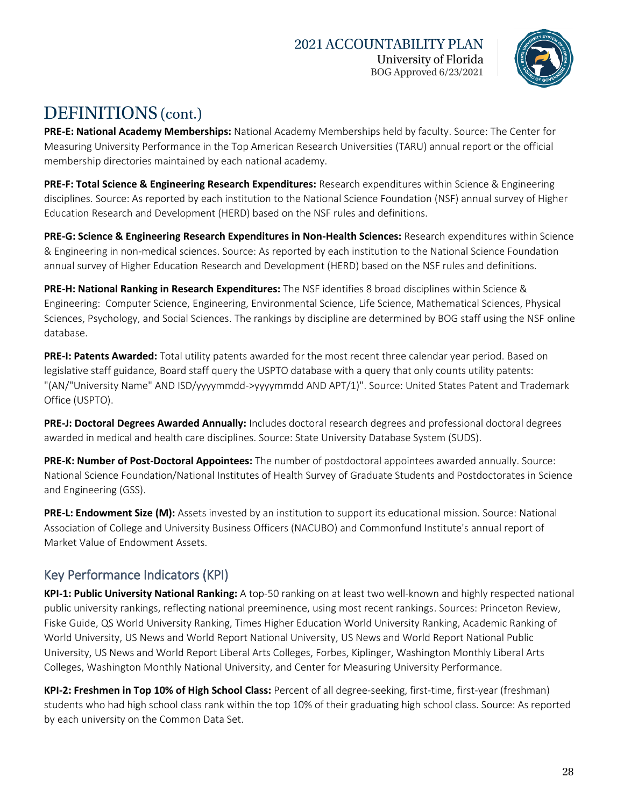

**PRE-E: National Academy Memberships:** National Academy Memberships held by faculty. Source: The Center for Measuring University Performance in the Top American Research Universities (TARU) annual report or the official membership directories maintained by each national academy.

**PRE-F: Total Science & Engineering Research Expenditures:** Research expenditures within Science & Engineering disciplines. Source: As reported by each institution to the National Science Foundation (NSF) annual survey of Higher Education Research and Development (HERD) based on the NSF rules and definitions.

**PRE-G: Science & Engineering Research Expenditures in Non-Health Sciences:** Research expenditures within Science & Engineering in non-medical sciences. Source: As reported by each institution to the National Science Foundation annual survey of Higher Education Research and Development (HERD) based on the NSF rules and definitions.

**PRE-H: National Ranking in Research Expenditures:** The NSF identifies 8 broad disciplines within Science & Engineering: Computer Science, Engineering, Environmental Science, Life Science, Mathematical Sciences, Physical Sciences, Psychology, and Social Sciences. The rankings by discipline are determined by BOG staff using the NSF online database.

**PRE-I: Patents Awarded:** Total utility patents awarded for the most recent three calendar year period. Based on legislative staff guidance, Board staff query the USPTO database with a query that only counts utility patents: "(AN/"University Name" AND ISD/yyyymmdd->yyyymmdd AND APT/1)". Source: United States Patent and Trademark Office (USPTO).

**PRE-J: Doctoral Degrees Awarded Annually:** Includes doctoral research degrees and professional doctoral degrees awarded in medical and health care disciplines. Source: State University Database System (SUDS).

**PRE-K: Number of Post-Doctoral Appointees:** The number of postdoctoral appointees awarded annually. Source: National Science Foundation/National Institutes of Health Survey of Graduate Students and Postdoctorates in Science and Engineering (GSS).

**PRE-L: Endowment Size (M):** Assets invested by an institution to support its educational mission. Source: National Association of College and University Business Officers (NACUBO) and Commonfund Institute's annual report of Market Value of Endowment Assets.

### Key Performance Indicators (KPI)

**KPI-1: Public University National Ranking:** A top-50 ranking on at least two well-known and highly respected national public university rankings, reflecting national preeminence, using most recent rankings. Sources: Princeton Review, Fiske Guide, QS World University Ranking, Times Higher Education World University Ranking, Academic Ranking of World University, US News and World Report National University, US News and World Report National Public University, US News and World Report Liberal Arts Colleges, Forbes, Kiplinger, Washington Monthly Liberal Arts Colleges, Washington Monthly National University, and Center for Measuring University Performance.

**KPI-2: Freshmen in Top 10% of High School Class:** Percent of all degree-seeking, first-time, first-year (freshman) students who had high school class rank within the top 10% of their graduating high school class. Source: As reported by each university on the Common Data Set.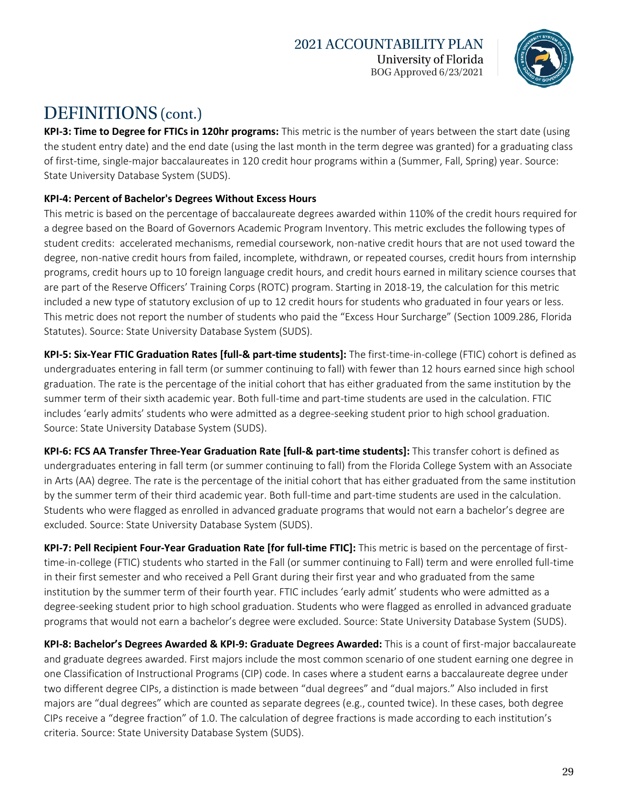

**KPI-3: Time to Degree for FTICs in 120hr programs:** This metric is the number of years between the start date (using the student entry date) and the end date (using the last month in the term degree was granted) for a graduating class of first-time, single-major baccalaureates in 120 credit hour programs within a (Summer, Fall, Spring) year. Source: State University Database System (SUDS).

### **KPI-4: Percent of Bachelor's Degrees Without Excess Hours**

This metric is based on the percentage of baccalaureate degrees awarded within 110% of the credit hours required for a degree based on the Board of Governors Academic Program Inventory. This metric excludes the following types of student credits: accelerated mechanisms, remedial coursework, non-native credit hours that are not used toward the degree, non-native credit hours from failed, incomplete, withdrawn, or repeated courses, credit hours from internship programs, credit hours up to 10 foreign language credit hours, and credit hours earned in military science courses that are part of the Reserve Officers' Training Corps (ROTC) program. Starting in 2018-19, the calculation for this metric included a new type of statutory exclusion of up to 12 credit hours for students who graduated in four years or less. This metric does not report the number of students who paid the "Excess Hour Surcharge" (Section 1009.286, Florida Statutes). Source: State University Database System (SUDS).

**KPI-5: Six-Year FTIC Graduation Rates [full-& part-time students]:** The first-time-in-college (FTIC) cohort is defined as undergraduates entering in fall term (or summer continuing to fall) with fewer than 12 hours earned since high school graduation. The rate is the percentage of the initial cohort that has either graduated from the same institution by the summer term of their sixth academic year. Both full-time and part-time students are used in the calculation. FTIC includes 'early admits' students who were admitted as a degree-seeking student prior to high school graduation. Source: State University Database System (SUDS).

**KPI-6: FCS AA Transfer Three-Year Graduation Rate [full-& part-time students]:** This transfer cohort is defined as undergraduates entering in fall term (or summer continuing to fall) from the Florida College System with an Associate in Arts (AA) degree. The rate is the percentage of the initial cohort that has either graduated from the same institution by the summer term of their third academic year. Both full-time and part-time students are used in the calculation. Students who were flagged as enrolled in advanced graduate programs that would not earn a bachelor's degree are excluded. Source: State University Database System (SUDS).

**KPI-7: Pell Recipient Four-Year Graduation Rate [for full-time FTIC]:** This metric is based on the percentage of firsttime-in-college (FTIC) students who started in the Fall (or summer continuing to Fall) term and were enrolled full-time in their first semester and who received a Pell Grant during their first year and who graduated from the same institution by the summer term of their fourth year. FTIC includes 'early admit' students who were admitted as a degree-seeking student prior to high school graduation. Students who were flagged as enrolled in advanced graduate programs that would not earn a bachelor's degree were excluded. Source: State University Database System (SUDS).

**KPI-8: Bachelor's Degrees Awarded & KPI-9: Graduate Degrees Awarded:** This is a count of first-major baccalaureate and graduate degrees awarded. First majors include the most common scenario of one student earning one degree in one Classification of Instructional Programs (CIP) code. In cases where a student earns a baccalaureate degree under two different degree CIPs, a distinction is made between "dual degrees" and "dual majors." Also included in first majors are "dual degrees" which are counted as separate degrees (e.g., counted twice). In these cases, both degree CIPs receive a "degree fraction" of 1.0. The calculation of degree fractions is made according to each institution's criteria. Source: State University Database System (SUDS).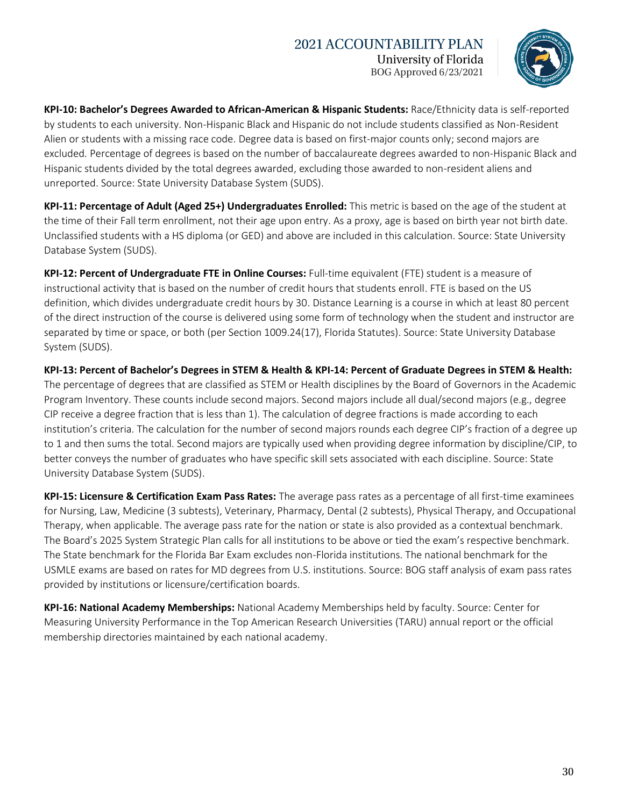### **2021 ACCOUNTABILITY PLAN** University of Florida BOG Approved 6/23/2021



**KPI-10: Bachelor's Degrees Awarded to African-American & Hispanic Students:** Race/Ethnicity data is self-reported by students to each university. Non-Hispanic Black and Hispanic do not include students classified as Non-Resident Alien or students with a missing race code. Degree data is based on first-major counts only; second majors are excluded. Percentage of degrees is based on the number of baccalaureate degrees awarded to non-Hispanic Black and Hispanic students divided by the total degrees awarded, excluding those awarded to non-resident aliens and unreported. Source: State University Database System (SUDS).

**KPI-11: Percentage of Adult (Aged 25+) Undergraduates Enrolled:** This metric is based on the age of the student at the time of their Fall term enrollment, not their age upon entry. As a proxy, age is based on birth year not birth date. Unclassified students with a HS diploma (or GED) and above are included in this calculation. Source: State University Database System (SUDS).

**KPI-12: Percent of Undergraduate FTE in Online Courses:** Full-time equivalent (FTE) student is a measure of instructional activity that is based on the number of credit hours that students enroll. FTE is based on the US definition, which divides undergraduate credit hours by 30. Distance Learning is a course in which at least 80 percent of the direct instruction of the course is delivered using some form of technology when the student and instructor are separated by time or space, or both (per Section 1009.24(17), Florida Statutes). Source: State University Database System (SUDS).

**KPI-13: Percent of Bachelor's Degrees in STEM & Health & KPI-14: Percent of Graduate Degrees in STEM & Health:** The percentage of degrees that are classified as STEM or Health disciplines by the Board of Governors in the Academic Program Inventory. These counts include second majors. Second majors include all dual/second majors (e.g., degree CIP receive a degree fraction that is less than 1). The calculation of degree fractions is made according to each institution's criteria. The calculation for the number of second majors rounds each degree CIP's fraction of a degree up to 1 and then sums the total. Second majors are typically used when providing degree information by discipline/CIP, to better conveys the number of graduates who have specific skill sets associated with each discipline. Source: State University Database System (SUDS).

**KPI-15: Licensure & Certification Exam Pass Rates:** The average pass rates as a percentage of all first-time examinees for Nursing, Law, Medicine (3 subtests), Veterinary, Pharmacy, Dental (2 subtests), Physical Therapy, and Occupational Therapy, when applicable. The average pass rate for the nation or state is also provided as a contextual benchmark. The Board's 2025 System Strategic Plan calls for all institutions to be above or tied the exam's respective benchmark. The State benchmark for the Florida Bar Exam excludes non-Florida institutions. The national benchmark for the USMLE exams are based on rates for MD degrees from U.S. institutions. Source: BOG staff analysis of exam pass rates provided by institutions or licensure/certification boards.

**KPI-16: National Academy Memberships:** National Academy Memberships held by faculty. Source: Center for Measuring University Performance in the Top American Research Universities (TARU) annual report or the official membership directories maintained by each national academy.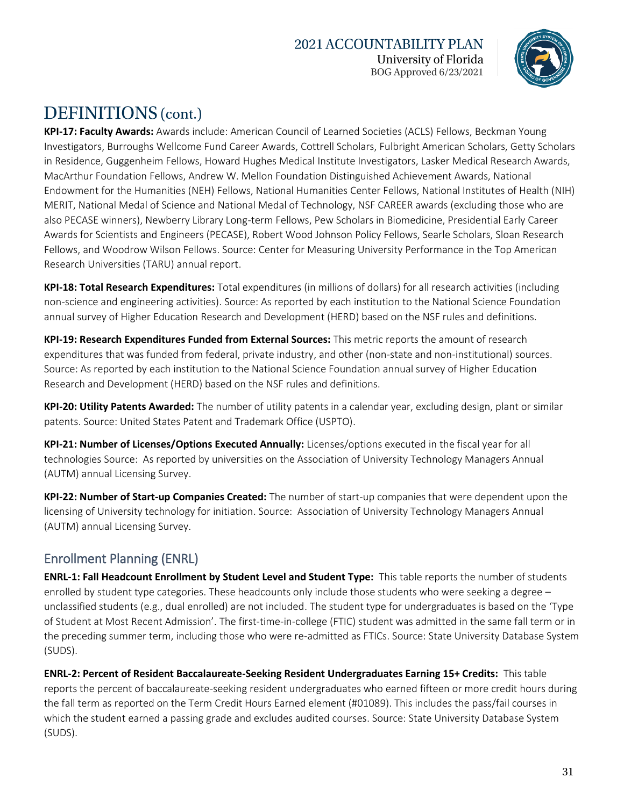### **2021 ACCOUNTABILITY PLAN** University of Florida BOG Approved 6/23/2021



# DEFINITIONS (cont.)

**KPI-17: Faculty Awards:** Awards include: American Council of Learned Societies (ACLS) Fellows, Beckman Young Investigators, Burroughs Wellcome Fund Career Awards, Cottrell Scholars, Fulbright American Scholars, Getty Scholars in Residence, Guggenheim Fellows, Howard Hughes Medical Institute Investigators, Lasker Medical Research Awards, MacArthur Foundation Fellows, Andrew W. Mellon Foundation Distinguished Achievement Awards, National Endowment for the Humanities (NEH) Fellows, National Humanities Center Fellows, National Institutes of Health (NIH) MERIT, National Medal of Science and National Medal of Technology, NSF CAREER awards (excluding those who are also PECASE winners), Newberry Library Long-term Fellows, Pew Scholars in Biomedicine, Presidential Early Career Awards for Scientists and Engineers (PECASE), Robert Wood Johnson Policy Fellows, Searle Scholars, Sloan Research Fellows, and Woodrow Wilson Fellows. Source: Center for Measuring University Performance in the Top American Research Universities (TARU) annual report.

**KPI-18: Total Research Expenditures:** Total expenditures (in millions of dollars) for all research activities (including non-science and engineering activities). Source: As reported by each institution to the National Science Foundation annual survey of Higher Education Research and Development (HERD) based on the NSF rules and definitions.

**KPI-19: Research Expenditures Funded from External Sources:** This metric reports the amount of research expenditures that was funded from federal, private industry, and other (non-state and non-institutional) sources. Source: As reported by each institution to the National Science Foundation annual survey of Higher Education Research and Development (HERD) based on the NSF rules and definitions.

**KPI-20: Utility Patents Awarded:** The number of utility patents in a calendar year, excluding design, plant or similar patents. Source: United States Patent and Trademark Office (USPTO).

**KPI-21: Number of Licenses/Options Executed Annually:** Licenses/options executed in the fiscal year for all technologies Source: As reported by universities on the Association of University Technology Managers Annual (AUTM) annual Licensing Survey.

**KPI-22: Number of Start-up Companies Created:** The number of start-up companies that were dependent upon the licensing of University technology for initiation. Source: Association of University Technology Managers Annual (AUTM) annual Licensing Survey.

### Enrollment Planning (ENRL)

**ENRL-1: Fall Headcount Enrollment by Student Level and Student Type:** This table reports the number of students enrolled by student type categories. These headcounts only include those students who were seeking a degree – unclassified students (e.g., dual enrolled) are not included. The student type for undergraduates is based on the 'Type of Student at Most Recent Admission'. The first-time-in-college (FTIC) student was admitted in the same fall term or in the preceding summer term, including those who were re-admitted as FTICs. Source: State University Database System (SUDS).

**ENRL-2: Percent of Resident Baccalaureate-Seeking Resident Undergraduates Earning 15+ Credits:** This table reports the percent of baccalaureate-seeking resident undergraduates who earned fifteen or more credit hours during the fall term as reported on the Term Credit Hours Earned element (#01089). This includes the pass/fail courses in which the student earned a passing grade and excludes audited courses. Source: State University Database System (SUDS).